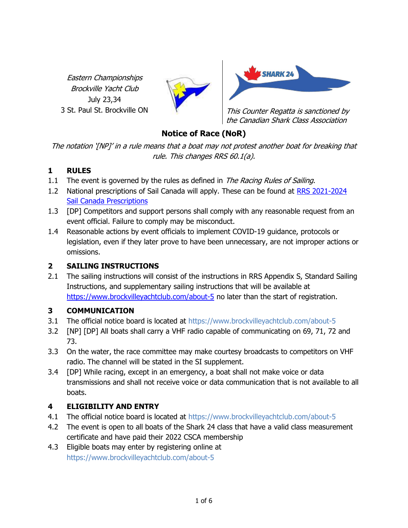Eastern Championships Brockville Yacht Club July 23,34





3 St. Paul St. Brockville ON This Counter Regatta is sanctioned by the Canadian Shark Class Association

## Notice of Race (NoR)

The notation '[NP]' in a rule means that a boat may not protest another boat for breaking that rule. This changes RRS 60.1(a).

## 1 RULES

- 1.1 The event is governed by the rules as defined in *The Racing Rules of Sailing*.
- 1.2 National prescriptions of Sail Canada will apply. These can be found at RRS 2021-2024 Sail Canada Prescriptions
- 1.3 [DP] Competitors and support persons shall comply with any reasonable request from an event official. Failure to comply may be misconduct.
- 1.4 Reasonable actions by event officials to implement COVID-19 guidance, protocols or legislation, even if they later prove to have been unnecessary, are not improper actions or omissions.

## 2 SAILING INSTRUCTIONS

2.1 The sailing instructions will consist of the instructions in RRS Appendix S, Standard Sailing Instructions, and supplementary sailing instructions that will be available at https://www.brockvilleyachtclub.com/about-5 no later than the start of registration.

## 3 COMMUNICATION

- 3.1 The official notice board is located at https://www.brockvilleyachtclub.com/about-5
- 3.2 [NP] [DP] All boats shall carry a VHF radio capable of communicating on 69, 71, 72 and 73.
- 3.3 On the water, the race committee may make courtesy broadcasts to competitors on VHF radio. The channel will be stated in the SI supplement.
- 3.4 [DP] While racing, except in an emergency, a boat shall not make voice or data transmissions and shall not receive voice or data communication that is not available to all boats.

## 4 ELIGIBILITY AND ENTRY

- 4.1 The official notice board is located at https://www.brockvilleyachtclub.com/about-5
- 4.2 The event is open to all boats of the Shark 24 class that have a valid class measurement certificate and have paid their 2022 CSCA membership
- 4.3 Eligible boats may enter by registering online at https://www.brockvilleyachtclub.com/about-5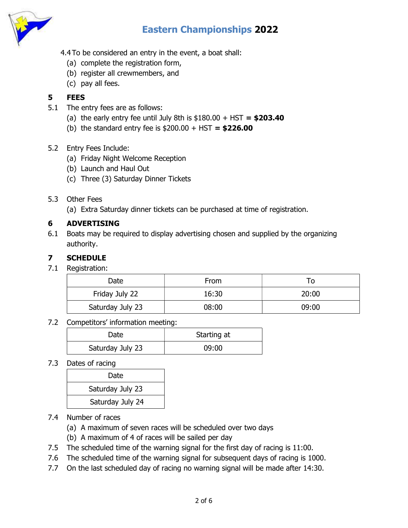

- 4.4 To be considered an entry in the event, a boat shall:
	- (a) complete the registration form,
	- (b) register all crewmembers, and
	- (c) pay all fees.

### 5 FEES

- 5.1 The entry fees are as follows:
	- (a) the early entry fee until July 8th is  $$180.00 + HST = $203.40$
	- (b) the standard entry fee is  $$200.00 + HST = $226.00$

#### 5.2 Entry Fees Include:

- (a) Friday Night Welcome Reception
- (b) Launch and Haul Out
- (c) Three (3) Saturday Dinner Tickets

#### 5.3 Other Fees

(a) Extra Saturday dinner tickets can be purchased at time of registration.

### 6 ADVERTISING

6.1 Boats may be required to display advertising chosen and supplied by the organizing authority.

### 7 SCHEDULE

7.1 Registration:

| Date             | <b>From</b> |       |
|------------------|-------------|-------|
| Friday July 22   | 16:30       | 20:00 |
| Saturday July 23 | 08:00       | 09:00 |

#### 7.2 Competitors' information meeting:

| Date             | Starting at |
|------------------|-------------|
| Saturday July 23 | 09:00       |

#### 7.3 Dates of racing

| Date             |  |
|------------------|--|
| Saturday July 23 |  |
| Saturday July 24 |  |

- 7.4 Number of races
	- (a) A maximum of seven races will be scheduled over two days
	- (b) A maximum of 4 of races will be sailed per day
- 7.5 The scheduled time of the warning signal for the first day of racing is 11:00.
- 7.6 The scheduled time of the warning signal for subsequent days of racing is 1000.
- 7.7 On the last scheduled day of racing no warning signal will be made after 14:30.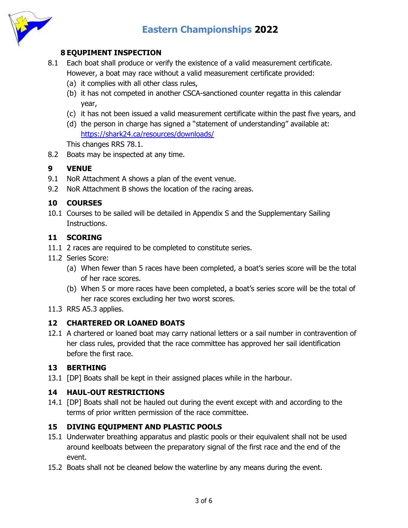

### 8 EQUPIMENT INSPECTION

- 8.1 Each boat shall produce or verify the existence of a valid measurement certificate. However, a boat may race without a valid measurement certificate provided:
	- (a) it complies with all other class rules,
	- (b) it has not competed in another CSCA-sanctioned counter regatta in this calendar year,
	- (c) it has not been issued a valid measurement certificate within the past five years, and
	- (d) the person in charge has signed a "statement of understanding" available at: https://shark24.ca/resources/downloads/

This changes RRS 78.1.

8.2 Boats may be inspected at any time.

#### 9 VENUE

- 9.1 NoR Attachment A shows a plan of the event venue.
- 9.2 NoR Attachment B shows the location of the racing areas.

#### 10 COURSES

10.1 Courses to be sailed will be detailed in Appendix S and the Supplementary Sailing Instructions.

#### 11 SCORING

- 11.1 2 races are required to be completed to constitute series.
- 11.2 Series Score:
	- (a) When fewer than 5 races have been completed, a boat's series score will be the total of her race scores.
	- (b) When 5 or more races have been completed, a boat's series score will be the total of her race scores excluding her two worst scores.
- 11.3 RRS A5.3 applies.

#### 12 CHARTERED OR LOANED BOATS

12.1 A chartered or loaned boat may carry national letters or a sail number in contravention of her class rules, provided that the race committee has approved her sail identification before the first race.

#### 13 BERTHING

13.1 [DP] Boats shall be kept in their assigned places while in the harbour.

#### 14 HAUL-OUT RESTRICTIONS

14.1 [DP] Boats shall not be hauled out during the event except with and according to the terms of prior written permission of the race committee.

#### 15 DIVING EQUIPMENT AND PLASTIC POOLS

- 15.1 Underwater breathing apparatus and plastic pools or their equivalent shall not be used around keelboats between the preparatory signal of the first race and the end of the event.
- 15.2 Boats shall not be cleaned below the waterline by any means during the event.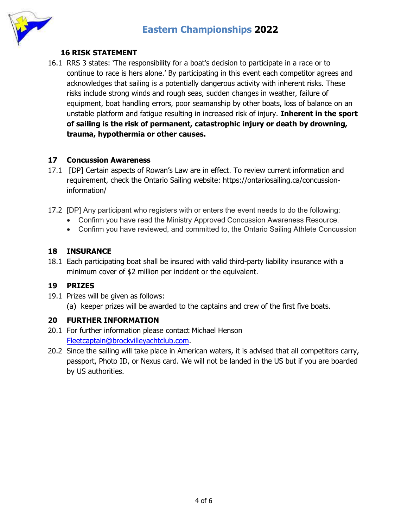# Eastern Championships 2022



#### 16 RISK STATEMENT

16.1 RRS 3 states: 'The responsibility for a boat's decision to participate in a race or to continue to race is hers alone.' By participating in this event each competitor agrees and acknowledges that sailing is a potentially dangerous activity with inherent risks. These risks include strong winds and rough seas, sudden changes in weather, failure of equipment, boat handling errors, poor seamanship by other boats, loss of balance on an unstable platform and fatique resulting in increased risk of injury. Inherent in the sport of sailing is the risk of permanent, catastrophic injury or death by drowning, trauma, hypothermia or other causes.

#### 17 Concussion Awareness

- 17.1 [DP] Certain aspects of Rowan's Law are in effect. To review current information and requirement, check the Ontario Sailing website: https://ontariosailing.ca/concussioninformation/
- 17.2 [DP] Any participant who registers with or enters the event needs to do the following:
	- Confirm you have read the Ministry Approved Concussion Awareness Resource.
	- Confirm you have reviewed, and committed to, the Ontario Sailing Athlete Concussion

#### 18 INSURANCE

18.1 Each participating boat shall be insured with valid third-party liability insurance with a minimum cover of \$2 million per incident or the equivalent.

#### 19 PRIZES

19.1 Prizes will be given as follows:

(a) keeper prizes will be awarded to the captains and crew of the first five boats.

#### 20 FURTHER INFORMATION

- 20.1 For further information please contact Michael Henson Fleetcaptain@brockvilleyachtclub.com.
- 20.2 Since the sailing will take place in American waters, it is advised that all competitors carry, passport, Photo ID, or Nexus card. We will not be landed in the US but if you are boarded by US authorities.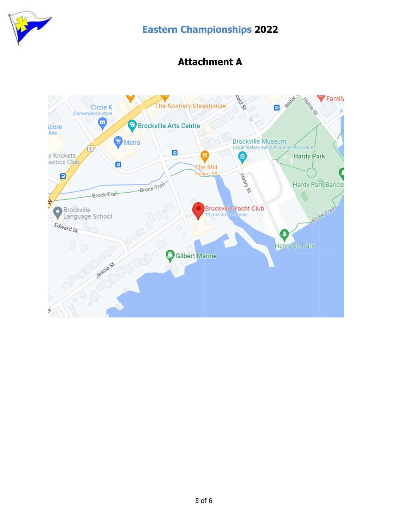

# Eastern Championships 2022

## Attachment A